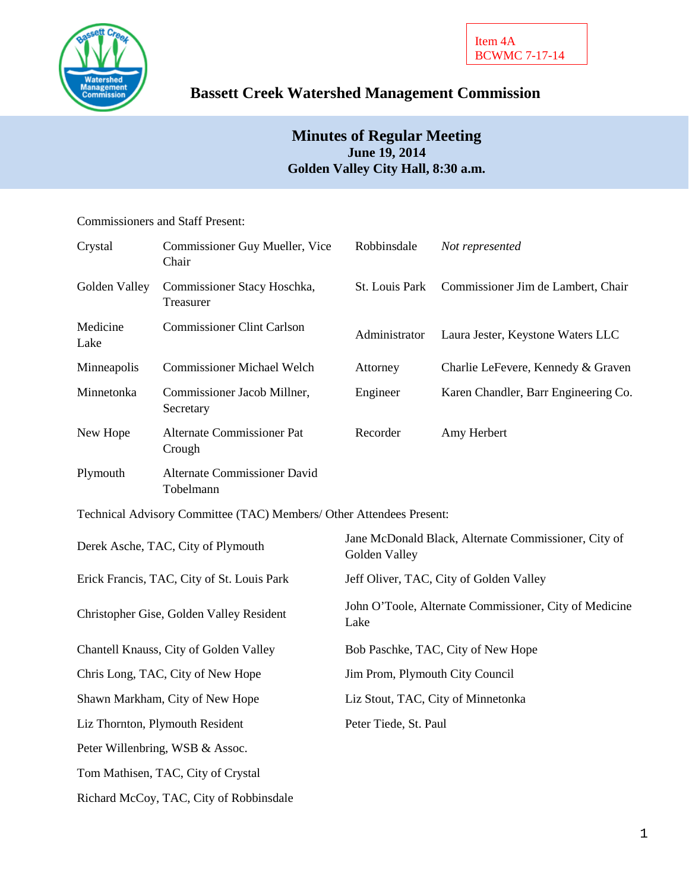

# **Bassett Creek Watershed Management Commission**

## **Minutes of Regular Meeting June 19, 2014 Golden Valley City Hall, 8:30 a.m.**

### Commissioners and Staff Present:

| Crystal                                    | Commissioner Guy Mueller, Vice<br>Chair                              | Robbinsdale                                                           | Not represented                      |
|--------------------------------------------|----------------------------------------------------------------------|-----------------------------------------------------------------------|--------------------------------------|
| Golden Valley                              | Commissioner Stacy Hoschka,<br>Treasurer                             | St. Louis Park                                                        | Commissioner Jim de Lambert, Chair   |
| Medicine<br>Lake                           | <b>Commissioner Clint Carlson</b>                                    | Administrator                                                         | Laura Jester, Keystone Waters LLC    |
| Minneapolis                                | <b>Commissioner Michael Welch</b>                                    | Attorney                                                              | Charlie LeFevere, Kennedy & Graven   |
| Minnetonka                                 | Commissioner Jacob Millner,<br>Secretary                             | Engineer                                                              | Karen Chandler, Barr Engineering Co. |
| New Hope                                   | <b>Alternate Commissioner Pat</b><br>Crough                          | Recorder                                                              | Amy Herbert                          |
| Plymouth                                   | Alternate Commissioner David<br>Tobelmann                            |                                                                       |                                      |
|                                            | Technical Advisory Committee (TAC) Members/ Other Attendees Present: |                                                                       |                                      |
| Derek Asche, TAC, City of Plymouth         |                                                                      | Jane McDonald Black, Alternate Commissioner, City of<br>Golden Valley |                                      |
| Erick Francis, TAC, City of St. Louis Park |                                                                      | Jeff Oliver, TAC, City of Golden Valley                               |                                      |
| Christopher Gise, Golden Valley Resident   |                                                                      | John O'Toole, Alternate Commissioner, City of Medicine<br>Lake        |                                      |
| Chantell Knauss, City of Golden Valley     |                                                                      | Bob Paschke, TAC, City of New Hope                                    |                                      |
| Chris Long, TAC, City of New Hope          |                                                                      | Jim Prom, Plymouth City Council                                       |                                      |
| Shawn Markham, City of New Hope            |                                                                      | Liz Stout, TAC, City of Minnetonka                                    |                                      |
| Liz Thornton, Plymouth Resident            |                                                                      | Peter Tiede, St. Paul                                                 |                                      |
|                                            | Peter Willenbring, WSB & Assoc.                                      |                                                                       |                                      |
|                                            | Tom Mathisen, TAC, City of Crystal                                   |                                                                       |                                      |
|                                            | Richard McCoy, TAC, City of Robbinsdale                              |                                                                       |                                      |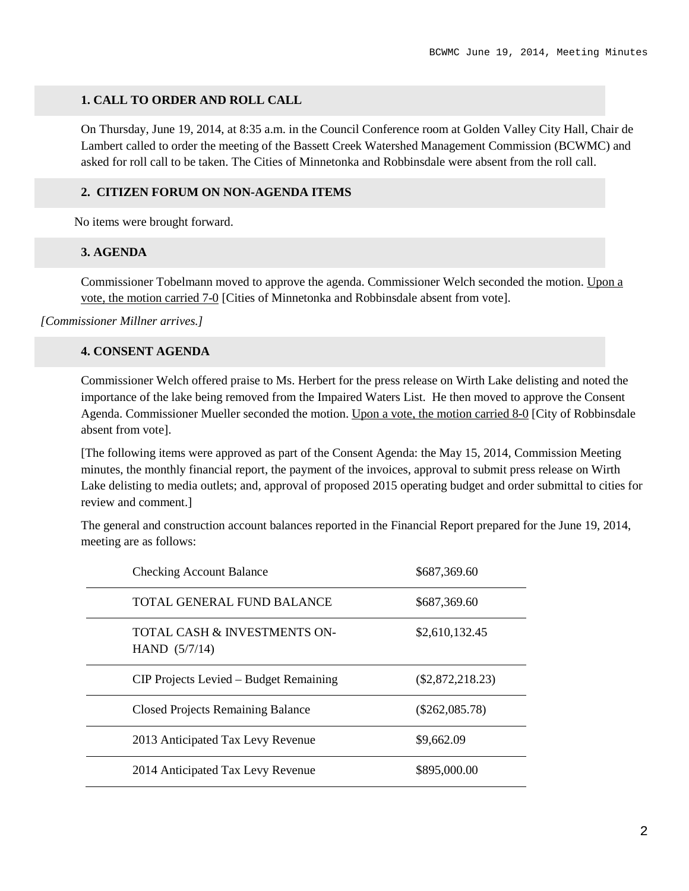#### **1. CALL TO ORDER AND ROLL CALL**

On Thursday, June 19, 2014, at 8:35 a.m. in the Council Conference room at Golden Valley City Hall, Chair de Lambert called to order the meeting of the Bassett Creek Watershed Management Commission (BCWMC) and asked for roll call to be taken. The Cities of Minnetonka and Robbinsdale were absent from the roll call.

#### **2. CITIZEN FORUM ON NON-AGENDA ITEMS**

No items were brought forward.

#### **3. AGENDA**

Commissioner Tobelmann moved to approve the agenda. Commissioner Welch seconded the motion. Upon a vote, the motion carried 7-0 [Cities of Minnetonka and Robbinsdale absent from vote].

*[Commissioner Millner arrives.]*

#### **4. CONSENT AGENDA**

Commissioner Welch offered praise to Ms. Herbert for the press release on Wirth Lake delisting and noted the importance of the lake being removed from the Impaired Waters List. He then moved to approve the Consent Agenda. Commissioner Mueller seconded the motion. Upon a vote, the motion carried 8-0 [City of Robbinsdale absent from vote].

[The following items were approved as part of the Consent Agenda: the May 15, 2014, Commission Meeting minutes, the monthly financial report, the payment of the invoices, approval to submit press release on Wirth Lake delisting to media outlets; and, approval of proposed 2015 operating budget and order submittal to cities for review and comment.]

The general and construction account balances reported in the Financial Report prepared for the June 19, 2014, meeting are as follows:

| <b>Checking Account Balance</b>                            | \$687,369.60       |
|------------------------------------------------------------|--------------------|
| TOTAL GENERAL FUND BALANCE                                 | \$687,369.60       |
| <b>TOTAL CASH &amp; INVESTMENTS ON-</b><br>HAND $(5/7/14)$ | \$2,610,132.45     |
| CIP Projects Levied – Budget Remaining                     | $(\$2,872,218.23)$ |
| <b>Closed Projects Remaining Balance</b>                   | $(\$262,085.78)$   |
| 2013 Anticipated Tax Levy Revenue                          | \$9,662.09         |
| 2014 Anticipated Tax Levy Revenue                          | \$895,000.00       |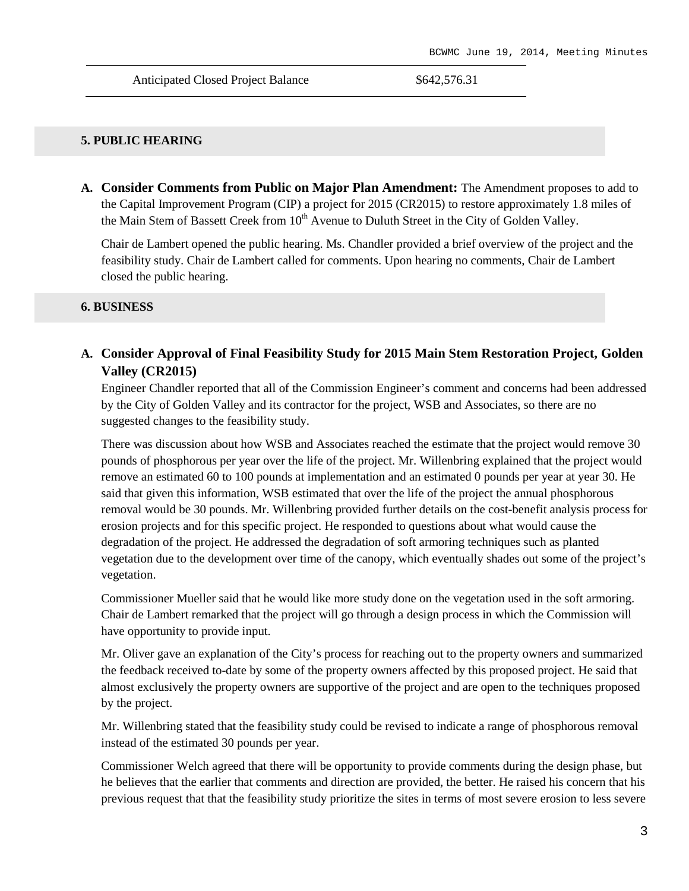#### **5. PUBLIC HEARING**

**A. Consider Comments from Public on Major Plan Amendment:** The Amendment proposes to add to the Capital Improvement Program (CIP) a project for 2015 (CR2015) to restore approximately 1.8 miles of the Main Stem of Bassett Creek from  $10<sup>th</sup>$  Avenue to Duluth Street in the City of Golden Valley.

Chair de Lambert opened the public hearing. Ms. Chandler provided a brief overview of the project and the feasibility study. Chair de Lambert called for comments. Upon hearing no comments, Chair de Lambert closed the public hearing.

#### **6. BUSINESS**

**A. Consider Approval of Final Feasibility Study for 2015 Main Stem Restoration Project, Golden Valley (CR2015)**

Engineer Chandler reported that all of the Commission Engineer's comment and concerns had been addressed by the City of Golden Valley and its contractor for the project, WSB and Associates, so there are no suggested changes to the feasibility study.

There was discussion about how WSB and Associates reached the estimate that the project would remove 30 pounds of phosphorous per year over the life of the project. Mr. Willenbring explained that the project would remove an estimated 60 to 100 pounds at implementation and an estimated 0 pounds per year at year 30. He said that given this information, WSB estimated that over the life of the project the annual phosphorous removal would be 30 pounds. Mr. Willenbring provided further details on the cost-benefit analysis process for erosion projects and for this specific project. He responded to questions about what would cause the degradation of the project. He addressed the degradation of soft armoring techniques such as planted vegetation due to the development over time of the canopy, which eventually shades out some of the project's vegetation.

Commissioner Mueller said that he would like more study done on the vegetation used in the soft armoring. Chair de Lambert remarked that the project will go through a design process in which the Commission will have opportunity to provide input.

Mr. Oliver gave an explanation of the City's process for reaching out to the property owners and summarized the feedback received to-date by some of the property owners affected by this proposed project. He said that almost exclusively the property owners are supportive of the project and are open to the techniques proposed by the project.

Mr. Willenbring stated that the feasibility study could be revised to indicate a range of phosphorous removal instead of the estimated 30 pounds per year.

Commissioner Welch agreed that there will be opportunity to provide comments during the design phase, but he believes that the earlier that comments and direction are provided, the better. He raised his concern that his previous request that that the feasibility study prioritize the sites in terms of most severe erosion to less severe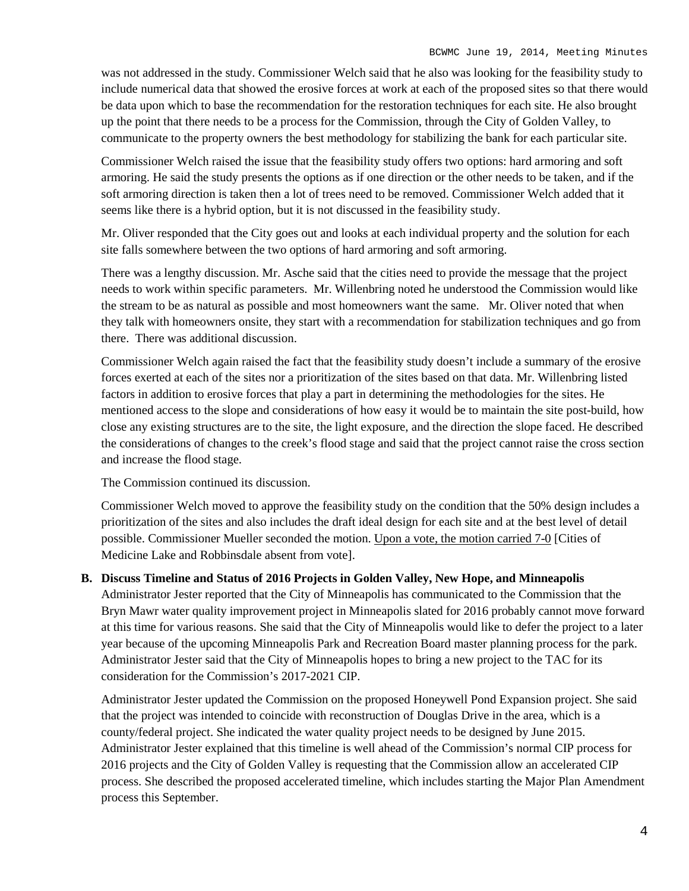was not addressed in the study. Commissioner Welch said that he also was looking for the feasibility study to include numerical data that showed the erosive forces at work at each of the proposed sites so that there would be data upon which to base the recommendation for the restoration techniques for each site. He also brought up the point that there needs to be a process for the Commission, through the City of Golden Valley, to communicate to the property owners the best methodology for stabilizing the bank for each particular site.

Commissioner Welch raised the issue that the feasibility study offers two options: hard armoring and soft armoring. He said the study presents the options as if one direction or the other needs to be taken, and if the soft armoring direction is taken then a lot of trees need to be removed. Commissioner Welch added that it seems like there is a hybrid option, but it is not discussed in the feasibility study.

Mr. Oliver responded that the City goes out and looks at each individual property and the solution for each site falls somewhere between the two options of hard armoring and soft armoring.

There was a lengthy discussion. Mr. Asche said that the cities need to provide the message that the project needs to work within specific parameters. Mr. Willenbring noted he understood the Commission would like the stream to be as natural as possible and most homeowners want the same. Mr. Oliver noted that when they talk with homeowners onsite, they start with a recommendation for stabilization techniques and go from there. There was additional discussion.

Commissioner Welch again raised the fact that the feasibility study doesn't include a summary of the erosive forces exerted at each of the sites nor a prioritization of the sites based on that data. Mr. Willenbring listed factors in addition to erosive forces that play a part in determining the methodologies for the sites. He mentioned access to the slope and considerations of how easy it would be to maintain the site post-build, how close any existing structures are to the site, the light exposure, and the direction the slope faced. He described the considerations of changes to the creek's flood stage and said that the project cannot raise the cross section and increase the flood stage.

The Commission continued its discussion.

Commissioner Welch moved to approve the feasibility study on the condition that the 50% design includes a prioritization of the sites and also includes the draft ideal design for each site and at the best level of detail possible. Commissioner Mueller seconded the motion. Upon a vote, the motion carried 7-0 [Cities of Medicine Lake and Robbinsdale absent from vote].

#### **B. Discuss Timeline and Status of 2016 Projects in Golden Valley, New Hope, and Minneapolis**

Administrator Jester reported that the City of Minneapolis has communicated to the Commission that the Bryn Mawr water quality improvement project in Minneapolis slated for 2016 probably cannot move forward at this time for various reasons. She said that the City of Minneapolis would like to defer the project to a later year because of the upcoming Minneapolis Park and Recreation Board master planning process for the park. Administrator Jester said that the City of Minneapolis hopes to bring a new project to the TAC for its consideration for the Commission's 2017-2021 CIP.

Administrator Jester updated the Commission on the proposed Honeywell Pond Expansion project. She said that the project was intended to coincide with reconstruction of Douglas Drive in the area, which is a county/federal project. She indicated the water quality project needs to be designed by June 2015. Administrator Jester explained that this timeline is well ahead of the Commission's normal CIP process for 2016 projects and the City of Golden Valley is requesting that the Commission allow an accelerated CIP process. She described the proposed accelerated timeline, which includes starting the Major Plan Amendment process this September.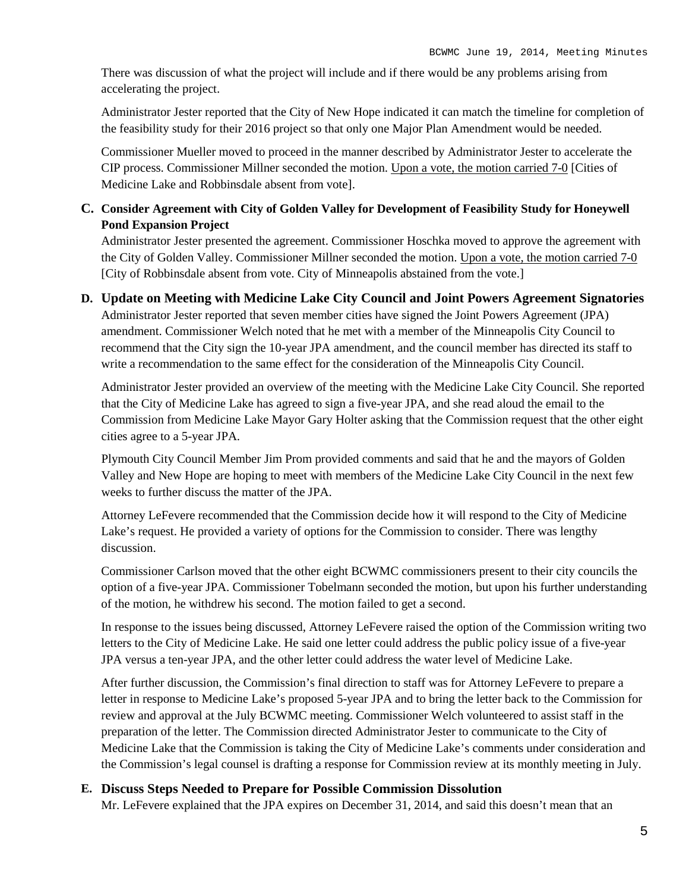There was discussion of what the project will include and if there would be any problems arising from accelerating the project.

Administrator Jester reported that the City of New Hope indicated it can match the timeline for completion of the feasibility study for their 2016 project so that only one Major Plan Amendment would be needed.

Commissioner Mueller moved to proceed in the manner described by Administrator Jester to accelerate the CIP process. Commissioner Millner seconded the motion. Upon a vote, the motion carried 7-0 [Cities of Medicine Lake and Robbinsdale absent from vote].

## **C. Consider Agreement with City of Golden Valley for Development of Feasibility Study for Honeywell Pond Expansion Project**

Administrator Jester presented the agreement. Commissioner Hoschka moved to approve the agreement with the City of Golden Valley. Commissioner Millner seconded the motion. Upon a vote, the motion carried 7-0 [City of Robbinsdale absent from vote. City of Minneapolis abstained from the vote.]

### **D. Update on Meeting with Medicine Lake City Council and Joint Powers Agreement Signatories**

Administrator Jester reported that seven member cities have signed the Joint Powers Agreement (JPA) amendment. Commissioner Welch noted that he met with a member of the Minneapolis City Council to recommend that the City sign the 10-year JPA amendment, and the council member has directed its staff to write a recommendation to the same effect for the consideration of the Minneapolis City Council.

Administrator Jester provided an overview of the meeting with the Medicine Lake City Council. She reported that the City of Medicine Lake has agreed to sign a five-year JPA, and she read aloud the email to the Commission from Medicine Lake Mayor Gary Holter asking that the Commission request that the other eight cities agree to a 5-year JPA.

Plymouth City Council Member Jim Prom provided comments and said that he and the mayors of Golden Valley and New Hope are hoping to meet with members of the Medicine Lake City Council in the next few weeks to further discuss the matter of the JPA.

Attorney LeFevere recommended that the Commission decide how it will respond to the City of Medicine Lake's request. He provided a variety of options for the Commission to consider. There was lengthy discussion.

Commissioner Carlson moved that the other eight BCWMC commissioners present to their city councils the option of a five-year JPA. Commissioner Tobelmann seconded the motion, but upon his further understanding of the motion, he withdrew his second. The motion failed to get a second.

In response to the issues being discussed, Attorney LeFevere raised the option of the Commission writing two letters to the City of Medicine Lake. He said one letter could address the public policy issue of a five-year JPA versus a ten-year JPA, and the other letter could address the water level of Medicine Lake.

After further discussion, the Commission's final direction to staff was for Attorney LeFevere to prepare a letter in response to Medicine Lake's proposed 5-year JPA and to bring the letter back to the Commission for review and approval at the July BCWMC meeting. Commissioner Welch volunteered to assist staff in the preparation of the letter. The Commission directed Administrator Jester to communicate to the City of Medicine Lake that the Commission is taking the City of Medicine Lake's comments under consideration and the Commission's legal counsel is drafting a response for Commission review at its monthly meeting in July.

## **E. Discuss Steps Needed to Prepare for Possible Commission Dissolution**

Mr. LeFevere explained that the JPA expires on December 31, 2014, and said this doesn't mean that an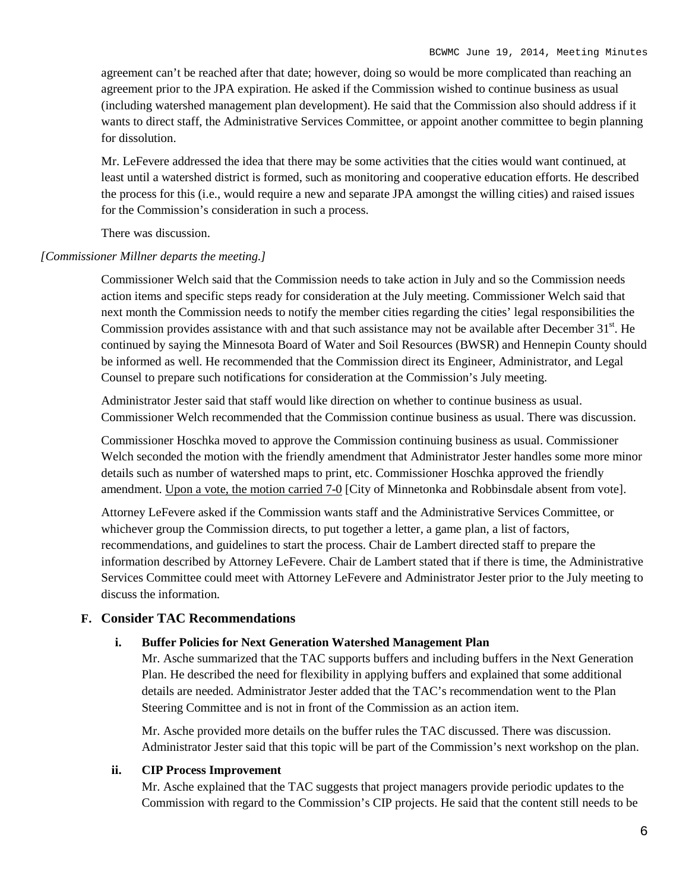agreement can't be reached after that date; however, doing so would be more complicated than reaching an agreement prior to the JPA expiration. He asked if the Commission wished to continue business as usual (including watershed management plan development). He said that the Commission also should address if it wants to direct staff, the Administrative Services Committee, or appoint another committee to begin planning for dissolution.

Mr. LeFevere addressed the idea that there may be some activities that the cities would want continued, at least until a watershed district is formed, such as monitoring and cooperative education efforts. He described the process for this (i.e., would require a new and separate JPA amongst the willing cities) and raised issues for the Commission's consideration in such a process.

There was discussion.

#### *[Commissioner Millner departs the meeting.]*

Commissioner Welch said that the Commission needs to take action in July and so the Commission needs action items and specific steps ready for consideration at the July meeting. Commissioner Welch said that next month the Commission needs to notify the member cities regarding the cities' legal responsibilities the Commission provides assistance with and that such assistance may not be available after December  $31<sup>st</sup>$ . He continued by saying the Minnesota Board of Water and Soil Resources (BWSR) and Hennepin County should be informed as well. He recommended that the Commission direct its Engineer, Administrator, and Legal Counsel to prepare such notifications for consideration at the Commission's July meeting.

Administrator Jester said that staff would like direction on whether to continue business as usual. Commissioner Welch recommended that the Commission continue business as usual. There was discussion.

Commissioner Hoschka moved to approve the Commission continuing business as usual. Commissioner Welch seconded the motion with the friendly amendment that Administrator Jester handles some more minor details such as number of watershed maps to print, etc. Commissioner Hoschka approved the friendly amendment. Upon a vote, the motion carried 7-0 [City of Minnetonka and Robbinsdale absent from vote].

Attorney LeFevere asked if the Commission wants staff and the Administrative Services Committee, or whichever group the Commission directs, to put together a letter, a game plan, a list of factors, recommendations, and guidelines to start the process. Chair de Lambert directed staff to prepare the information described by Attorney LeFevere. Chair de Lambert stated that if there is time, the Administrative Services Committee could meet with Attorney LeFevere and Administrator Jester prior to the July meeting to discuss the information.

#### **F. Consider TAC Recommendations**

#### **i. Buffer Policies for Next Generation Watershed Management Plan**

Mr. Asche summarized that the TAC supports buffers and including buffers in the Next Generation Plan. He described the need for flexibility in applying buffers and explained that some additional details are needed. Administrator Jester added that the TAC's recommendation went to the Plan Steering Committee and is not in front of the Commission as an action item.

Mr. Asche provided more details on the buffer rules the TAC discussed. There was discussion. Administrator Jester said that this topic will be part of the Commission's next workshop on the plan.

#### **ii. CIP Process Improvement**

Mr. Asche explained that the TAC suggests that project managers provide periodic updates to the Commission with regard to the Commission's CIP projects. He said that the content still needs to be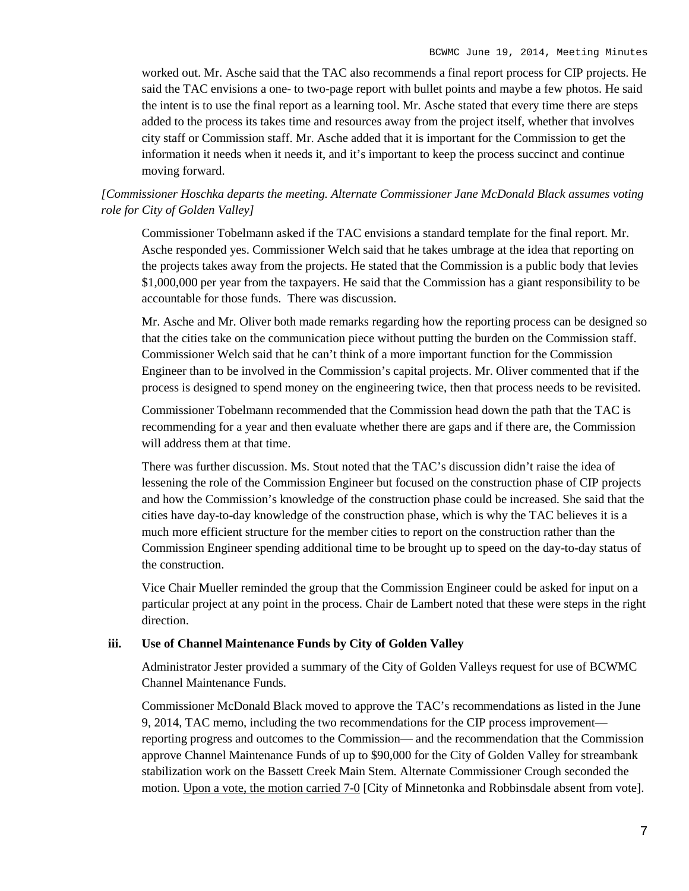worked out. Mr. Asche said that the TAC also recommends a final report process for CIP projects. He said the TAC envisions a one- to two-page report with bullet points and maybe a few photos. He said the intent is to use the final report as a learning tool. Mr. Asche stated that every time there are steps added to the process its takes time and resources away from the project itself, whether that involves city staff or Commission staff. Mr. Asche added that it is important for the Commission to get the information it needs when it needs it, and it's important to keep the process succinct and continue moving forward.

## *[Commissioner Hoschka departs the meeting. Alternate Commissioner Jane McDonald Black assumes voting role for City of Golden Valley]*

Commissioner Tobelmann asked if the TAC envisions a standard template for the final report. Mr. Asche responded yes. Commissioner Welch said that he takes umbrage at the idea that reporting on the projects takes away from the projects. He stated that the Commission is a public body that levies \$1,000,000 per year from the taxpayers. He said that the Commission has a giant responsibility to be accountable for those funds. There was discussion.

Mr. Asche and Mr. Oliver both made remarks regarding how the reporting process can be designed so that the cities take on the communication piece without putting the burden on the Commission staff. Commissioner Welch said that he can't think of a more important function for the Commission Engineer than to be involved in the Commission's capital projects. Mr. Oliver commented that if the process is designed to spend money on the engineering twice, then that process needs to be revisited.

Commissioner Tobelmann recommended that the Commission head down the path that the TAC is recommending for a year and then evaluate whether there are gaps and if there are, the Commission will address them at that time.

There was further discussion. Ms. Stout noted that the TAC's discussion didn't raise the idea of lessening the role of the Commission Engineer but focused on the construction phase of CIP projects and how the Commission's knowledge of the construction phase could be increased. She said that the cities have day-to-day knowledge of the construction phase, which is why the TAC believes it is a much more efficient structure for the member cities to report on the construction rather than the Commission Engineer spending additional time to be brought up to speed on the day-to-day status of the construction.

Vice Chair Mueller reminded the group that the Commission Engineer could be asked for input on a particular project at any point in the process. Chair de Lambert noted that these were steps in the right direction.

#### **iii. Use of Channel Maintenance Funds by City of Golden Valley**

Administrator Jester provided a summary of the City of Golden Valleys request for use of BCWMC Channel Maintenance Funds.

Commissioner McDonald Black moved to approve the TAC's recommendations as listed in the June 9, 2014, TAC memo, including the two recommendations for the CIP process improvement reporting progress and outcomes to the Commission— and the recommendation that the Commission approve Channel Maintenance Funds of up to \$90,000 for the City of Golden Valley for streambank stabilization work on the Bassett Creek Main Stem. Alternate Commissioner Crough seconded the motion. Upon a vote, the motion carried 7-0 [City of Minnetonka and Robbinsdale absent from vote].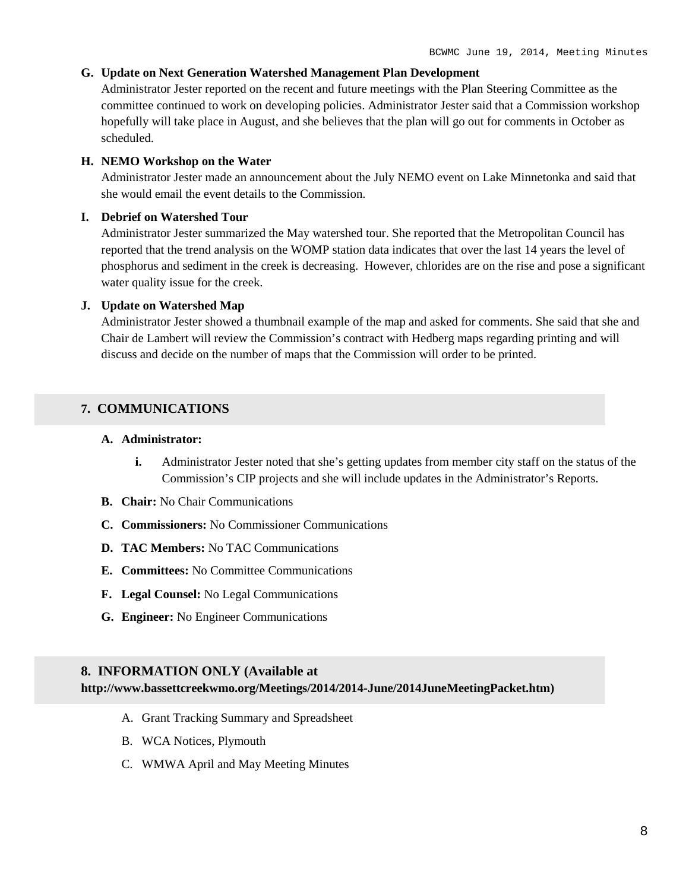#### **G. Update on Next Generation Watershed Management Plan Development**

Administrator Jester reported on the recent and future meetings with the Plan Steering Committee as the committee continued to work on developing policies. Administrator Jester said that a Commission workshop hopefully will take place in August, and she believes that the plan will go out for comments in October as scheduled.

#### **H. NEMO Workshop on the Water**

Administrator Jester made an announcement about the July NEMO event on Lake Minnetonka and said that she would email the event details to the Commission.

#### **I. Debrief on Watershed Tour**

Administrator Jester summarized the May watershed tour. She reported that the Metropolitan Council has reported that the trend analysis on the WOMP station data indicates that over the last 14 years the level of phosphorus and sediment in the creek is decreasing. However, chlorides are on the rise and pose a significant water quality issue for the creek.

#### **J. Update on Watershed Map**

Administrator Jester showed a thumbnail example of the map and asked for comments. She said that she and Chair de Lambert will review the Commission's contract with Hedberg maps regarding printing and will discuss and decide on the number of maps that the Commission will order to be printed.

## **7. COMMUNICATIONS**

#### **A. Administrator:**

- **i.** Administrator Jester noted that she's getting updates from member city staff on the status of the Commission's CIP projects and she will include updates in the Administrator's Reports.
- **B. Chair:** No Chair Communications
- **C. Commissioners:** No Commissioner Communications
- **D. TAC Members:** No TAC Communications
- **E. Committees:** No Committee Communications
- **F. Legal Counsel:** No Legal Communications
- **G. Engineer:** No Engineer Communications

#### **8. INFORMATION ONLY (Available at**

**http://www.bassettcreekwmo.org/Meetings/2014/2014-June/2014JuneMeetingPacket.htm)**

- A. Grant Tracking Summary and Spreadsheet
- B. WCA Notices, Plymouth
- C. WMWA April and May Meeting Minutes